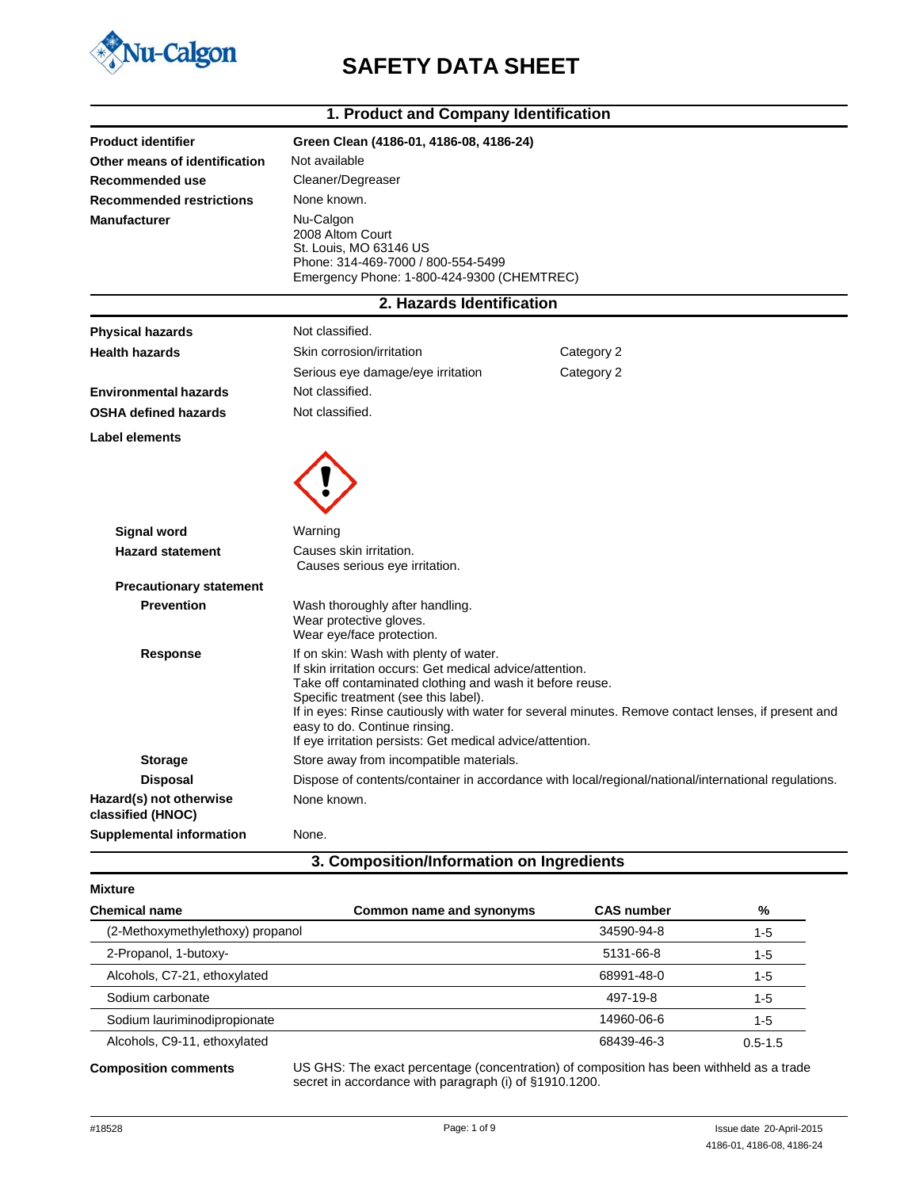

## **SAFETY DATA SHEET**

|                                              | 1. Product and Company Identification                                                                                                                                                                                                                                                                |                                                                                                     |  |
|----------------------------------------------|------------------------------------------------------------------------------------------------------------------------------------------------------------------------------------------------------------------------------------------------------------------------------------------------------|-----------------------------------------------------------------------------------------------------|--|
| <b>Product identifier</b>                    | Green Clean (4186-01, 4186-08, 4186-24)                                                                                                                                                                                                                                                              |                                                                                                     |  |
| Other means of identification                | Not available                                                                                                                                                                                                                                                                                        |                                                                                                     |  |
| Recommended use                              | Cleaner/Degreaser                                                                                                                                                                                                                                                                                    |                                                                                                     |  |
| <b>Recommended restrictions</b>              | None known.                                                                                                                                                                                                                                                                                          |                                                                                                     |  |
| <b>Manufacturer</b>                          | Nu-Calgon<br>2008 Altom Court<br>St. Louis, MO 63146 US<br>Phone: 314-469-7000 / 800-554-5499<br>Emergency Phone: 1-800-424-9300 (CHEMTREC)                                                                                                                                                          |                                                                                                     |  |
|                                              | 2. Hazards Identification                                                                                                                                                                                                                                                                            |                                                                                                     |  |
| <b>Physical hazards</b>                      | Not classified.                                                                                                                                                                                                                                                                                      |                                                                                                     |  |
| <b>Health hazards</b>                        | Skin corrosion/irritation                                                                                                                                                                                                                                                                            | Category 2                                                                                          |  |
|                                              | Serious eye damage/eye irritation                                                                                                                                                                                                                                                                    | Category 2                                                                                          |  |
| <b>Environmental hazards</b>                 | Not classified.                                                                                                                                                                                                                                                                                      |                                                                                                     |  |
| <b>OSHA defined hazards</b>                  | Not classified.                                                                                                                                                                                                                                                                                      |                                                                                                     |  |
| Label elements                               |                                                                                                                                                                                                                                                                                                      |                                                                                                     |  |
| <b>Signal word</b>                           | Warning                                                                                                                                                                                                                                                                                              |                                                                                                     |  |
| <b>Hazard statement</b>                      | Causes skin irritation.<br>Causes serious eye irritation.                                                                                                                                                                                                                                            |                                                                                                     |  |
| <b>Precautionary statement</b>               |                                                                                                                                                                                                                                                                                                      |                                                                                                     |  |
| <b>Prevention</b>                            | Wash thoroughly after handling.<br>Wear protective gloves.<br>Wear eye/face protection.                                                                                                                                                                                                              |                                                                                                     |  |
| <b>Response</b>                              | If on skin: Wash with plenty of water.<br>If skin irritation occurs: Get medical advice/attention.<br>Take off contaminated clothing and wash it before reuse.<br>Specific treatment (see this label).<br>easy to do. Continue rinsing.<br>If eye irritation persists: Get medical advice/attention. | If in eyes: Rinse cautiously with water for several minutes. Remove contact lenses, if present and  |  |
| <b>Storage</b>                               | Store away from incompatible materials.                                                                                                                                                                                                                                                              |                                                                                                     |  |
| <b>Disposal</b>                              |                                                                                                                                                                                                                                                                                                      | Dispose of contents/container in accordance with local/regional/national/international regulations. |  |
| Hazard(s) not otherwise<br>classified (HNOC) | None known.                                                                                                                                                                                                                                                                                          |                                                                                                     |  |
| <b>Supplemental information</b>              | None.                                                                                                                                                                                                                                                                                                |                                                                                                     |  |

## **3. Composition/Information on Ingredients**

| <b>Mixture</b>                   |                          |                   |             |
|----------------------------------|--------------------------|-------------------|-------------|
| <b>Chemical name</b>             | Common name and synonyms | <b>CAS number</b> | %           |
| (2-Methoxymethylethoxy) propanol |                          | 34590-94-8        | $1 - 5$     |
| 2-Propanol, 1-butoxy-            |                          | 5131-66-8         | 1-5         |
| Alcohols, C7-21, ethoxylated     |                          | 68991-48-0        | 1-5         |
| Sodium carbonate                 |                          | 497-19-8          | $1 - 5$     |
| Sodium lauriminodipropionate     |                          | 14960-06-6        | 1-5         |
| Alcohols, C9-11, ethoxylated     |                          | 68439-46-3        | $0.5 - 1.5$ |
|                                  |                          |                   |             |

**Composition comments** US GHS: The exact percentage (concentration) of composition has been withheld as a trade secret in accordance with paragraph (i) of §1910.1200.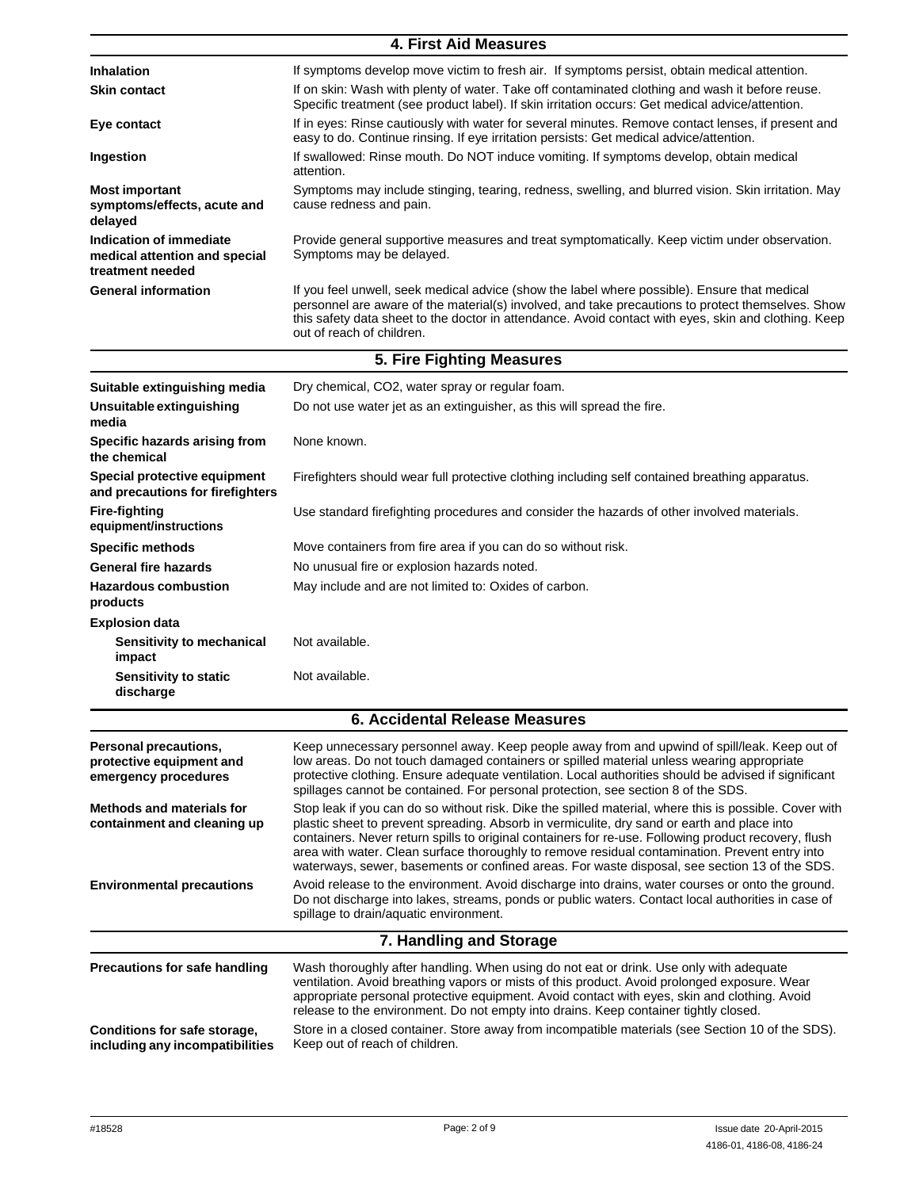## **4. First Aid Measures**

| <b>Inhalation</b>                                                            | If symptoms develop move victim to fresh air. If symptoms persist, obtain medical attention.                                                                                                                                                                                                                                           |  |
|------------------------------------------------------------------------------|----------------------------------------------------------------------------------------------------------------------------------------------------------------------------------------------------------------------------------------------------------------------------------------------------------------------------------------|--|
| <b>Skin contact</b>                                                          | If on skin: Wash with plenty of water. Take off contaminated clothing and wash it before reuse.<br>Specific treatment (see product label). If skin irritation occurs: Get medical advice/attention.                                                                                                                                    |  |
| Eye contact                                                                  | If in eyes: Rinse cautiously with water for several minutes. Remove contact lenses, if present and<br>easy to do. Continue rinsing. If eye irritation persists: Get medical advice/attention.                                                                                                                                          |  |
| Ingestion                                                                    | If swallowed: Rinse mouth. Do NOT induce vomiting. If symptoms develop, obtain medical<br>attention.                                                                                                                                                                                                                                   |  |
| <b>Most important</b><br>symptoms/effects, acute and<br>delayed              | Symptoms may include stinging, tearing, redness, swelling, and blurred vision. Skin irritation. May<br>cause redness and pain.                                                                                                                                                                                                         |  |
| Indication of immediate<br>medical attention and special<br>treatment needed | Provide general supportive measures and treat symptomatically. Keep victim under observation.<br>Symptoms may be delayed.                                                                                                                                                                                                              |  |
| <b>General information</b>                                                   | If you feel unwell, seek medical advice (show the label where possible). Ensure that medical<br>personnel are aware of the material(s) involved, and take precautions to protect themselves. Show<br>this safety data sheet to the doctor in attendance. Avoid contact with eyes, skin and clothing. Keep<br>out of reach of children. |  |

|                                                                           | 5. Fire Fighting Measures                                                                                                                                                                                                                                                                                                                                                                                                                                                                                        |  |  |
|---------------------------------------------------------------------------|------------------------------------------------------------------------------------------------------------------------------------------------------------------------------------------------------------------------------------------------------------------------------------------------------------------------------------------------------------------------------------------------------------------------------------------------------------------------------------------------------------------|--|--|
| Suitable extinguishing media                                              | Dry chemical, CO2, water spray or regular foam.                                                                                                                                                                                                                                                                                                                                                                                                                                                                  |  |  |
| Unsuitable extinguishing<br>media                                         | Do not use water jet as an extinguisher, as this will spread the fire.                                                                                                                                                                                                                                                                                                                                                                                                                                           |  |  |
| Specific hazards arising from<br>the chemical                             | None known.                                                                                                                                                                                                                                                                                                                                                                                                                                                                                                      |  |  |
| Special protective equipment<br>and precautions for firefighters          | Firefighters should wear full protective clothing including self contained breathing apparatus.                                                                                                                                                                                                                                                                                                                                                                                                                  |  |  |
| <b>Fire-fighting</b><br>equipment/instructions                            | Use standard firefighting procedures and consider the hazards of other involved materials.                                                                                                                                                                                                                                                                                                                                                                                                                       |  |  |
| <b>Specific methods</b>                                                   | Move containers from fire area if you can do so without risk.                                                                                                                                                                                                                                                                                                                                                                                                                                                    |  |  |
| <b>General fire hazards</b>                                               | No unusual fire or explosion hazards noted.                                                                                                                                                                                                                                                                                                                                                                                                                                                                      |  |  |
| <b>Hazardous combustion</b><br>products                                   | May include and are not limited to: Oxides of carbon.                                                                                                                                                                                                                                                                                                                                                                                                                                                            |  |  |
| <b>Explosion data</b>                                                     |                                                                                                                                                                                                                                                                                                                                                                                                                                                                                                                  |  |  |
| Sensitivity to mechanical<br>impact                                       | Not available.                                                                                                                                                                                                                                                                                                                                                                                                                                                                                                   |  |  |
| <b>Sensitivity to static</b><br>discharge                                 | Not available.                                                                                                                                                                                                                                                                                                                                                                                                                                                                                                   |  |  |
|                                                                           | <b>6. Accidental Release Measures</b>                                                                                                                                                                                                                                                                                                                                                                                                                                                                            |  |  |
| Personal precautions,<br>protective equipment and<br>emergency procedures | Keep unnecessary personnel away. Keep people away from and upwind of spill/leak. Keep out of<br>low areas. Do not touch damaged containers or spilled material unless wearing appropriate<br>protective clothing. Ensure adequate ventilation. Local authorities should be advised if significant<br>spillages cannot be contained. For personal protection, see section 8 of the SDS.                                                                                                                           |  |  |
| <b>Methods and materials for</b><br>containment and cleaning up           | Stop leak if you can do so without risk. Dike the spilled material, where this is possible. Cover with<br>plastic sheet to prevent spreading. Absorb in vermiculite, dry sand or earth and place into<br>containers. Never return spills to original containers for re-use. Following product recovery, flush<br>area with water. Clean surface thoroughly to remove residual contamination. Prevent entry into<br>waterways, sewer, basements or confined areas. For waste disposal, see section 13 of the SDS. |  |  |
| <b>Environmental precautions</b>                                          | Avoid release to the environment. Avoid discharge into drains, water courses or onto the ground.<br>Do not discharge into lakes, streams, ponds or public waters. Contact local authorities in case of<br>spillage to drain/aquatic environment.                                                                                                                                                                                                                                                                 |  |  |
|                                                                           | 7. Handling and Storage                                                                                                                                                                                                                                                                                                                                                                                                                                                                                          |  |  |
| Precautions for safe handling                                             | Wash thoroughly after handling. When using do not eat or drink. Use only with adequate<br>ventilation. Avoid breathing vapors or mists of this product. Avoid prolonged exposure. Wear<br>appropriate personal protective equipment. Avoid contact with eyes, skin and clothing. Avoid<br>release to the environment. Do not empty into drains. Keep container tightly closed.                                                                                                                                   |  |  |
| Conditions for safe storage,<br>including any incompatibilities           | Store in a closed container. Store away from incompatible materials (see Section 10 of the SDS).<br>Keep out of reach of children.                                                                                                                                                                                                                                                                                                                                                                               |  |  |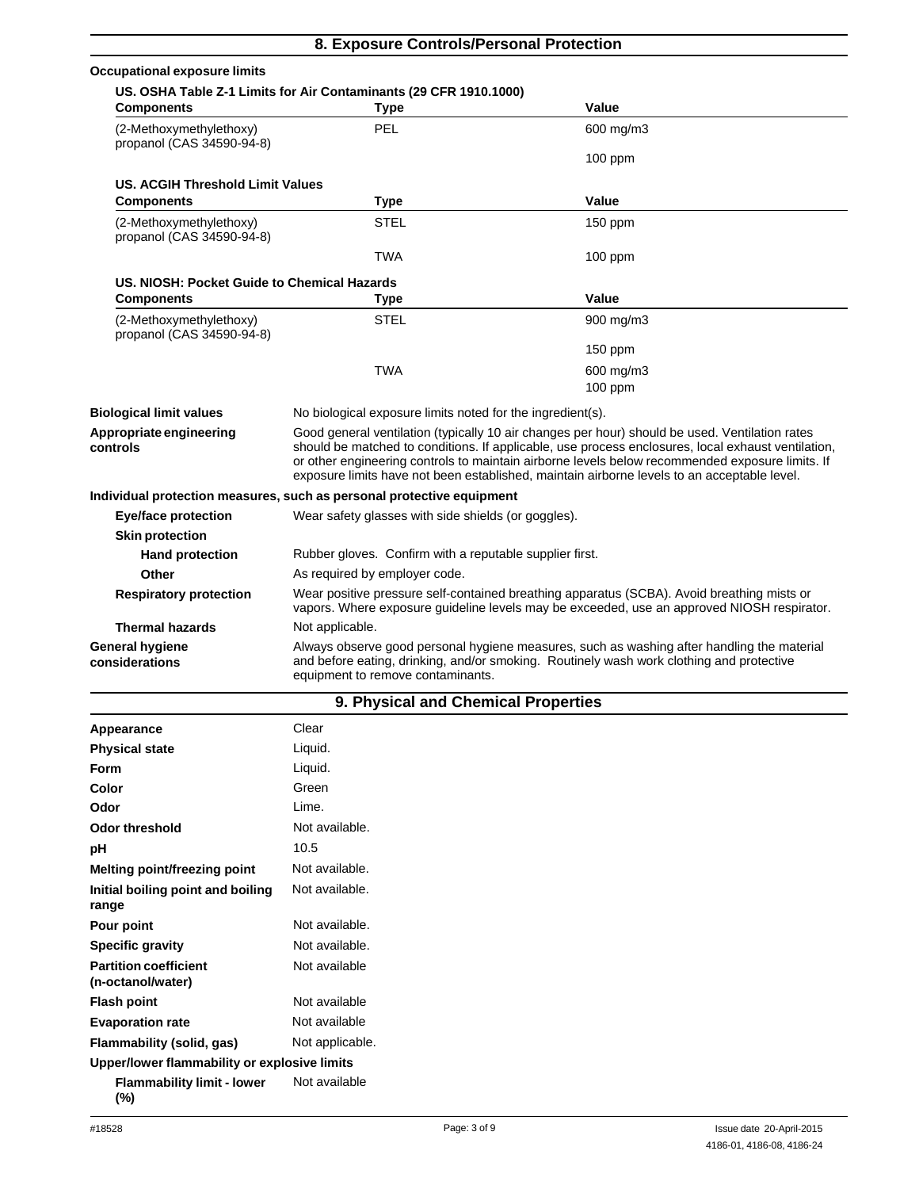| 8. Exposure Controls/Personal Protection             |                                                                                                                                                                                          |                                                                                                                                                                                                                                                                                                                                                                                                        |  |
|------------------------------------------------------|------------------------------------------------------------------------------------------------------------------------------------------------------------------------------------------|--------------------------------------------------------------------------------------------------------------------------------------------------------------------------------------------------------------------------------------------------------------------------------------------------------------------------------------------------------------------------------------------------------|--|
| <b>Occupational exposure limits</b>                  |                                                                                                                                                                                          |                                                                                                                                                                                                                                                                                                                                                                                                        |  |
|                                                      | US. OSHA Table Z-1 Limits for Air Contaminants (29 CFR 1910.1000)                                                                                                                        |                                                                                                                                                                                                                                                                                                                                                                                                        |  |
| <b>Components</b>                                    | Type                                                                                                                                                                                     | Value                                                                                                                                                                                                                                                                                                                                                                                                  |  |
| (2-Methoxymethylethoxy)<br>propanol (CAS 34590-94-8) | PEL                                                                                                                                                                                      | 600 mg/m3                                                                                                                                                                                                                                                                                                                                                                                              |  |
|                                                      |                                                                                                                                                                                          | $100$ ppm                                                                                                                                                                                                                                                                                                                                                                                              |  |
| <b>US. ACGIH Threshold Limit Values</b>              |                                                                                                                                                                                          |                                                                                                                                                                                                                                                                                                                                                                                                        |  |
| <b>Components</b>                                    | <b>Type</b>                                                                                                                                                                              | Value                                                                                                                                                                                                                                                                                                                                                                                                  |  |
| (2-Methoxymethylethoxy)<br>propanol (CAS 34590-94-8) | <b>STEL</b>                                                                                                                                                                              | $150$ ppm                                                                                                                                                                                                                                                                                                                                                                                              |  |
|                                                      | <b>TWA</b>                                                                                                                                                                               | $100$ ppm                                                                                                                                                                                                                                                                                                                                                                                              |  |
| US, NIOSH: Pocket Guide to Chemical Hazards          |                                                                                                                                                                                          |                                                                                                                                                                                                                                                                                                                                                                                                        |  |
| <b>Components</b>                                    | <b>Type</b>                                                                                                                                                                              | Value                                                                                                                                                                                                                                                                                                                                                                                                  |  |
| (2-Methoxymethylethoxy)<br>propanol (CAS 34590-94-8) | <b>STEL</b>                                                                                                                                                                              | 900 mg/m3                                                                                                                                                                                                                                                                                                                                                                                              |  |
|                                                      |                                                                                                                                                                                          | 150 ppm                                                                                                                                                                                                                                                                                                                                                                                                |  |
|                                                      | <b>TWA</b>                                                                                                                                                                               | 600 mg/m3                                                                                                                                                                                                                                                                                                                                                                                              |  |
|                                                      |                                                                                                                                                                                          | $100$ ppm                                                                                                                                                                                                                                                                                                                                                                                              |  |
| <b>Biological limit values</b>                       | No biological exposure limits noted for the ingredient(s).                                                                                                                               |                                                                                                                                                                                                                                                                                                                                                                                                        |  |
| Appropriate engineering<br>controls                  |                                                                                                                                                                                          | Good general ventilation (typically 10 air changes per hour) should be used. Ventilation rates<br>should be matched to conditions. If applicable, use process enclosures, local exhaust ventilation,<br>or other engineering controls to maintain airborne levels below recommended exposure limits. If<br>exposure limits have not been established, maintain airborne levels to an acceptable level. |  |
|                                                      | Individual protection measures, such as personal protective equipment                                                                                                                    |                                                                                                                                                                                                                                                                                                                                                                                                        |  |
| <b>Eye/face protection</b>                           | Wear safety glasses with side shields (or goggles).                                                                                                                                      |                                                                                                                                                                                                                                                                                                                                                                                                        |  |
| <b>Skin protection</b>                               |                                                                                                                                                                                          |                                                                                                                                                                                                                                                                                                                                                                                                        |  |
| <b>Hand protection</b>                               | Rubber gloves. Confirm with a reputable supplier first.                                                                                                                                  |                                                                                                                                                                                                                                                                                                                                                                                                        |  |
| Other                                                | As required by employer code.                                                                                                                                                            |                                                                                                                                                                                                                                                                                                                                                                                                        |  |
| <b>Respiratory protection</b>                        | Wear positive pressure self-contained breathing apparatus (SCBA). Avoid breathing mists or<br>vapors. Where exposure guideline levels may be exceeded, use an approved NIOSH respirator. |                                                                                                                                                                                                                                                                                                                                                                                                        |  |
| <b>Thermal hazards</b>                               | Not applicable.                                                                                                                                                                          |                                                                                                                                                                                                                                                                                                                                                                                                        |  |
| <b>General hygiene</b><br>considerations             | equipment to remove contaminants.                                                                                                                                                        | Always observe good personal hygiene measures, such as washing after handling the material<br>and before eating, drinking, and/or smoking. Routinely wash work clothing and protective                                                                                                                                                                                                                 |  |

| 9. Physical and Chemical Properties |  |  |
|-------------------------------------|--|--|

| Appearance                                        | Clear           |
|---------------------------------------------------|-----------------|
| <b>Physical state</b>                             | Liquid.         |
| <b>Form</b>                                       | Liquid.         |
| Color                                             | Green           |
| Odor                                              | Lime.           |
| <b>Odor threshold</b>                             | Not available.  |
| pH                                                | 10.5            |
| Melting point/freezing point                      | Not available.  |
| Initial boiling point and boiling<br>range        | Not available.  |
| Pour point                                        | Not available.  |
| <b>Specific gravity</b>                           | Not available.  |
| <b>Partition coefficient</b><br>(n-octanol/water) | Not available   |
| <b>Flash point</b>                                | Not available   |
| <b>Evaporation rate</b>                           | Not available   |
| <b>Flammability (solid, gas)</b>                  | Not applicable. |
| Upper/lower flammability or explosive limits      |                 |
| <b>Flammability limit - lower</b><br>(%)          | Not available   |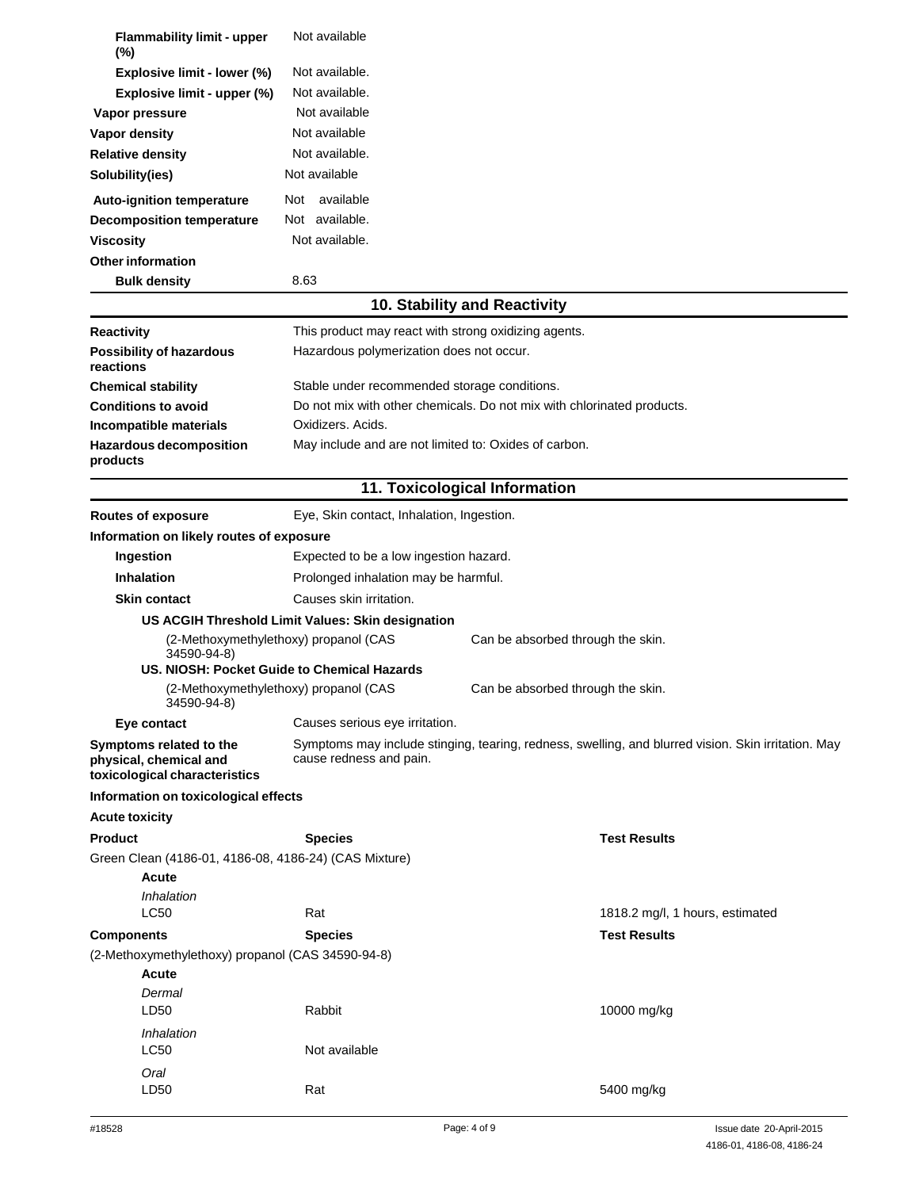| <b>Flammability limit - upper</b><br>(%)                                           | Not available                                                          |                                   |                                                                                                     |
|------------------------------------------------------------------------------------|------------------------------------------------------------------------|-----------------------------------|-----------------------------------------------------------------------------------------------------|
| Explosive limit - lower (%)                                                        | Not available.                                                         |                                   |                                                                                                     |
| Explosive limit - upper (%)                                                        | Not available.                                                         |                                   |                                                                                                     |
| Vapor pressure                                                                     | Not available                                                          |                                   |                                                                                                     |
| Vapor density                                                                      | Not available                                                          |                                   |                                                                                                     |
| <b>Relative density</b>                                                            | Not available.                                                         |                                   |                                                                                                     |
| Solubility(ies)                                                                    | Not available                                                          |                                   |                                                                                                     |
|                                                                                    |                                                                        |                                   |                                                                                                     |
| Auto-ignition temperature                                                          | available<br>Not                                                       |                                   |                                                                                                     |
| <b>Decomposition temperature</b>                                                   | Not available.                                                         |                                   |                                                                                                     |
| <b>Viscosity</b>                                                                   | Not available.                                                         |                                   |                                                                                                     |
| <b>Other information</b>                                                           |                                                                        |                                   |                                                                                                     |
| <b>Bulk density</b>                                                                | 8.63                                                                   |                                   |                                                                                                     |
|                                                                                    |                                                                        | 10. Stability and Reactivity      |                                                                                                     |
| <b>Reactivity</b>                                                                  | This product may react with strong oxidizing agents.                   |                                   |                                                                                                     |
| <b>Possibility of hazardous</b><br>reactions                                       | Hazardous polymerization does not occur.                               |                                   |                                                                                                     |
| <b>Chemical stability</b>                                                          | Stable under recommended storage conditions.                           |                                   |                                                                                                     |
| <b>Conditions to avoid</b>                                                         | Do not mix with other chemicals. Do not mix with chlorinated products. |                                   |                                                                                                     |
| Incompatible materials                                                             | Oxidizers. Acids.                                                      |                                   |                                                                                                     |
| <b>Hazardous decomposition</b>                                                     | May include and are not limited to: Oxides of carbon.                  |                                   |                                                                                                     |
| products                                                                           |                                                                        |                                   |                                                                                                     |
|                                                                                    |                                                                        | 11. Toxicological Information     |                                                                                                     |
| <b>Routes of exposure</b>                                                          | Eye, Skin contact, Inhalation, Ingestion.                              |                                   |                                                                                                     |
| Information on likely routes of exposure                                           |                                                                        |                                   |                                                                                                     |
| Ingestion                                                                          | Expected to be a low ingestion hazard.                                 |                                   |                                                                                                     |
| <b>Inhalation</b>                                                                  | Prolonged inhalation may be harmful.                                   |                                   |                                                                                                     |
| <b>Skin contact</b>                                                                | Causes skin irritation.                                                |                                   |                                                                                                     |
|                                                                                    | US ACGIH Threshold Limit Values: Skin designation                      |                                   |                                                                                                     |
| 34590-94-8)                                                                        | (2-Methoxymethylethoxy) propanol (CAS                                  | Can be absorbed through the skin. |                                                                                                     |
|                                                                                    | US. NIOSH: Pocket Guide to Chemical Hazards                            |                                   |                                                                                                     |
| 34590-94-8)                                                                        | (2-Methoxymethylethoxy) propanol (CAS                                  | Can be absorbed through the skin. |                                                                                                     |
| Eye contact                                                                        | Causes serious eye irritation.                                         |                                   |                                                                                                     |
| Symptoms related to the<br>physical, chemical and<br>toxicological characteristics | cause redness and pain.                                                |                                   | Symptoms may include stinging, tearing, redness, swelling, and blurred vision. Skin irritation. May |
| Information on toxicological effects                                               |                                                                        |                                   |                                                                                                     |
| <b>Acute toxicity</b>                                                              |                                                                        |                                   |                                                                                                     |
| <b>Product</b>                                                                     | <b>Species</b>                                                         |                                   | <b>Test Results</b>                                                                                 |
| Green Clean (4186-01, 4186-08, 4186-24) (CAS Mixture)                              |                                                                        |                                   |                                                                                                     |
| <b>Acute</b>                                                                       |                                                                        |                                   |                                                                                                     |
| Inhalation                                                                         |                                                                        |                                   |                                                                                                     |
| <b>LC50</b>                                                                        | Rat                                                                    |                                   | 1818.2 mg/l, 1 hours, estimated                                                                     |
| <b>Components</b>                                                                  | <b>Species</b>                                                         |                                   | <b>Test Results</b>                                                                                 |
| (2-Methoxymethylethoxy) propanol (CAS 34590-94-8)                                  |                                                                        |                                   |                                                                                                     |
| Acute                                                                              |                                                                        |                                   |                                                                                                     |
| Dermal<br>LD50                                                                     | Rabbit                                                                 |                                   | 10000 mg/kg                                                                                         |
| Inhalation                                                                         |                                                                        |                                   |                                                                                                     |
| LC50                                                                               | Not available                                                          |                                   |                                                                                                     |
| Oral                                                                               |                                                                        |                                   |                                                                                                     |
| LD50                                                                               | Rat                                                                    |                                   | 5400 mg/kg                                                                                          |
|                                                                                    |                                                                        |                                   |                                                                                                     |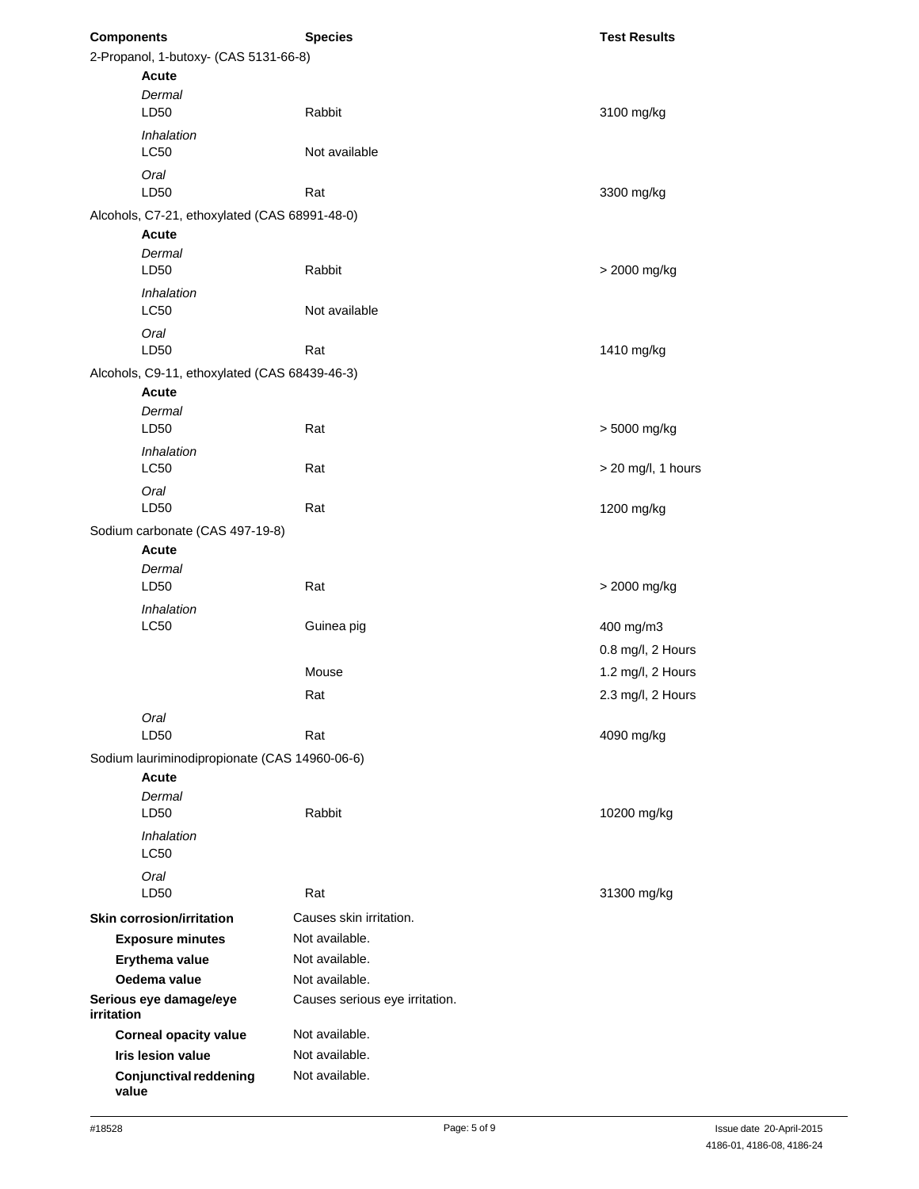| <b>Components</b> |                                               | <b>Species</b>                 | <b>Test Results</b>  |
|-------------------|-----------------------------------------------|--------------------------------|----------------------|
|                   | 2-Propanol, 1-butoxy- (CAS 5131-66-8)         |                                |                      |
|                   | <b>Acute</b>                                  |                                |                      |
|                   | Dermal<br>LD50                                | Rabbit                         | 3100 mg/kg           |
|                   | Inhalation<br>LC50                            | Not available                  |                      |
|                   | Oral<br>LD50                                  | Rat                            | 3300 mg/kg           |
|                   | Alcohols, C7-21, ethoxylated (CAS 68991-48-0) |                                |                      |
|                   | <b>Acute</b>                                  |                                |                      |
|                   | Dermal<br>LD50                                | Rabbit                         | > 2000 mg/kg         |
|                   | Inhalation<br>LC50                            | Not available                  |                      |
|                   | Oral<br>LD50                                  | Rat                            | 1410 mg/kg           |
|                   | Alcohols, C9-11, ethoxylated (CAS 68439-46-3) |                                |                      |
|                   | <b>Acute</b>                                  |                                |                      |
|                   | Dermal                                        |                                |                      |
|                   | LD50                                          | Rat                            | > 5000 mg/kg         |
|                   | Inhalation                                    |                                |                      |
|                   | LC50                                          | Rat                            | $>$ 20 mg/l, 1 hours |
|                   | Oral<br>LD50                                  | Rat                            | 1200 mg/kg           |
|                   | Sodium carbonate (CAS 497-19-8)               |                                |                      |
|                   | Acute                                         |                                |                      |
|                   | Dermal                                        |                                |                      |
|                   | LD50                                          | Rat                            | > 2000 mg/kg         |
|                   | Inhalation                                    |                                |                      |
|                   | LC50                                          | Guinea pig                     | 400 mg/m3            |
|                   |                                               |                                | 0.8 mg/l, 2 Hours    |
|                   |                                               | Mouse                          | 1.2 mg/l, 2 Hours    |
|                   |                                               | Rat                            | 2.3 mg/l, 2 Hours    |
|                   |                                               |                                |                      |
|                   | Oral<br>LD50                                  | Rat                            | 4090 mg/kg           |
|                   | Sodium lauriminodipropionate (CAS 14960-06-6) |                                |                      |
|                   | Acute                                         |                                |                      |
|                   | Dermal                                        |                                |                      |
|                   | LD50                                          | Rabbit                         | 10200 mg/kg          |
|                   | Inhalation<br><b>LC50</b>                     |                                |                      |
|                   | Oral                                          |                                |                      |
|                   | LD50                                          | Rat                            | 31300 mg/kg          |
|                   | <b>Skin corrosion/irritation</b>              | Causes skin irritation.        |                      |
|                   | <b>Exposure minutes</b>                       | Not available.                 |                      |
|                   | Erythema value                                | Not available.                 |                      |
|                   | Oedema value                                  | Not available.                 |                      |
| irritation        | Serious eye damage/eye                        | Causes serious eye irritation. |                      |
|                   | <b>Corneal opacity value</b>                  | Not available.                 |                      |
|                   | <b>Iris lesion value</b>                      | Not available.                 |                      |
| value             | <b>Conjunctival reddening</b>                 | Not available.                 |                      |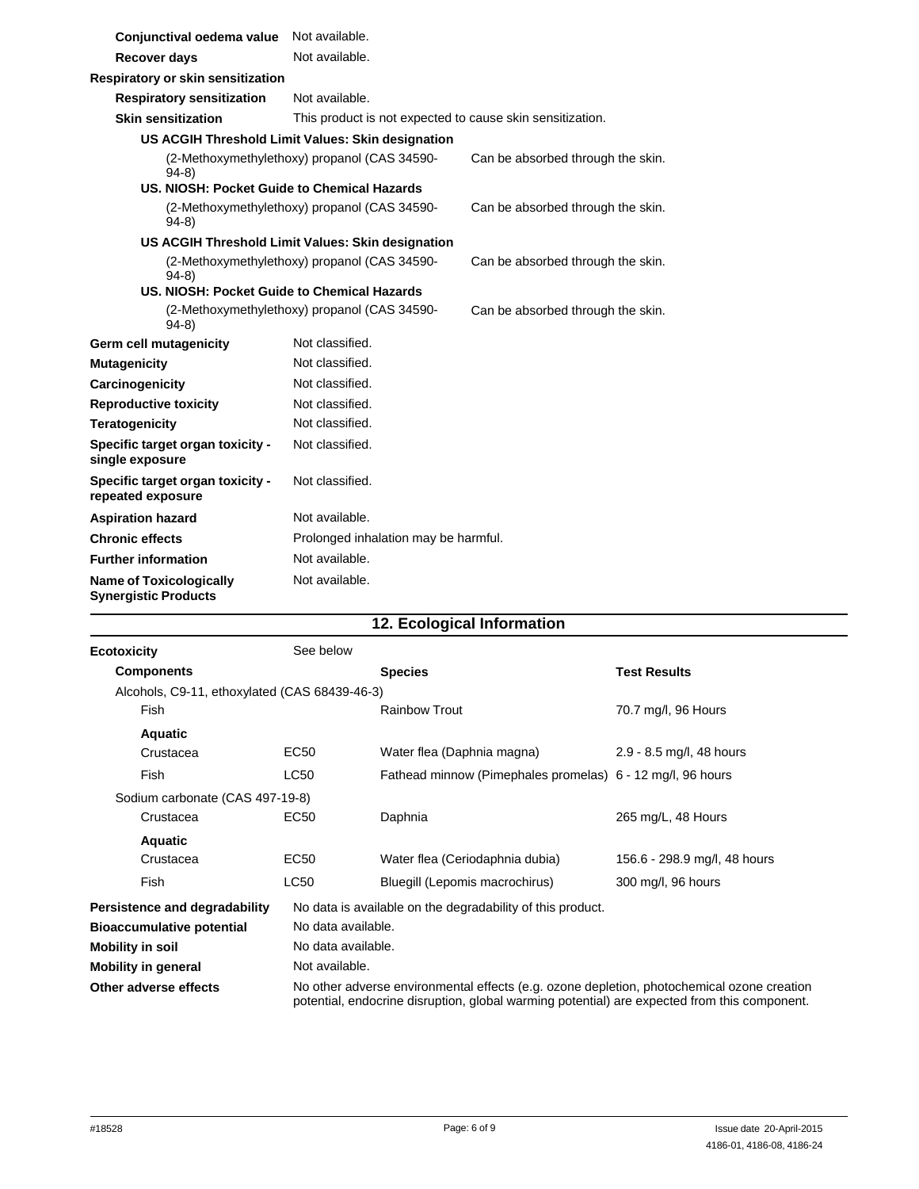| Conjunctival oedema value                                     | Not available.                                            |                                   |
|---------------------------------------------------------------|-----------------------------------------------------------|-----------------------------------|
| <b>Recover days</b>                                           | Not available.                                            |                                   |
| Respiratory or skin sensitization                             |                                                           |                                   |
| <b>Respiratory sensitization</b>                              | Not available.                                            |                                   |
| <b>Skin sensitization</b>                                     | This product is not expected to cause skin sensitization. |                                   |
|                                                               | US ACGIH Threshold Limit Values: Skin designation         |                                   |
| $94-8$                                                        | (2-Methoxymethylethoxy) propanol (CAS 34590-              | Can be absorbed through the skin. |
| US, NIOSH: Pocket Guide to Chemical Hazards                   |                                                           |                                   |
| $94-8)$                                                       | (2-Methoxymethylethoxy) propanol (CAS 34590-              | Can be absorbed through the skin. |
|                                                               | US ACGIH Threshold Limit Values: Skin designation         |                                   |
| $94-8$                                                        | (2-Methoxymethylethoxy) propanol (CAS 34590-              | Can be absorbed through the skin. |
| US. NIOSH: Pocket Guide to Chemical Hazards                   |                                                           |                                   |
| $94-8)$                                                       | (2-Methoxymethylethoxy) propanol (CAS 34590-              | Can be absorbed through the skin. |
| Germ cell mutagenicity                                        | Not classified.                                           |                                   |
| <b>Mutagenicity</b>                                           | Not classified.                                           |                                   |
| Carcinogenicity                                               | Not classified.                                           |                                   |
| <b>Reproductive toxicity</b>                                  | Not classified.                                           |                                   |
| <b>Teratogenicity</b>                                         | Not classified.                                           |                                   |
| Specific target organ toxicity -<br>single exposure           | Not classified.                                           |                                   |
| Specific target organ toxicity -<br>repeated exposure         | Not classified.                                           |                                   |
| <b>Aspiration hazard</b>                                      | Not available.                                            |                                   |
| <b>Chronic effects</b>                                        | Prolonged inhalation may be harmful.                      |                                   |
| <b>Further information</b>                                    | Not available.                                            |                                   |
| <b>Name of Toxicologically</b><br><b>Synergistic Products</b> | Not available.                                            |                                   |

## **12. Ecological Information**

| <b>Ecotoxicity</b>                            | See below          |                                                                                                                                                                                            |                              |
|-----------------------------------------------|--------------------|--------------------------------------------------------------------------------------------------------------------------------------------------------------------------------------------|------------------------------|
| <b>Components</b>                             |                    | <b>Species</b>                                                                                                                                                                             | <b>Test Results</b>          |
| Alcohols, C9-11, ethoxylated (CAS 68439-46-3) |                    |                                                                                                                                                                                            |                              |
| Fish                                          |                    | <b>Rainbow Trout</b>                                                                                                                                                                       | 70.7 mg/l, 96 Hours          |
| <b>Aquatic</b>                                |                    |                                                                                                                                                                                            |                              |
| Crustacea                                     | EC50               | Water flea (Daphnia magna)                                                                                                                                                                 | 2.9 - 8.5 mg/l, 48 hours     |
| Fish                                          | <b>LC50</b>        | Fathead minnow (Pimephales promelas) 6 - 12 mg/l, 96 hours                                                                                                                                 |                              |
| Sodium carbonate (CAS 497-19-8)               |                    |                                                                                                                                                                                            |                              |
| Crustacea                                     | EC50               | Daphnia                                                                                                                                                                                    | 265 mg/L, 48 Hours           |
| <b>Aquatic</b>                                |                    |                                                                                                                                                                                            |                              |
| Crustacea                                     | EC <sub>50</sub>   | Water flea (Ceriodaphnia dubia)                                                                                                                                                            | 156.6 - 298.9 mg/l, 48 hours |
| <b>Fish</b>                                   | LC50               | Bluegill (Lepomis macrochirus)                                                                                                                                                             | 300 mg/l, 96 hours           |
| Persistence and degradability                 |                    | No data is available on the degradability of this product.                                                                                                                                 |                              |
| <b>Bioaccumulative potential</b>              | No data available. |                                                                                                                                                                                            |                              |
| <b>Mobility in soil</b>                       | No data available. |                                                                                                                                                                                            |                              |
| <b>Mobility in general</b>                    | Not available.     |                                                                                                                                                                                            |                              |
| Other adverse effects                         |                    | No other adverse environmental effects (e.g. ozone depletion, photochemical ozone creation<br>potential, endocrine disruption, global warming potential) are expected from this component. |                              |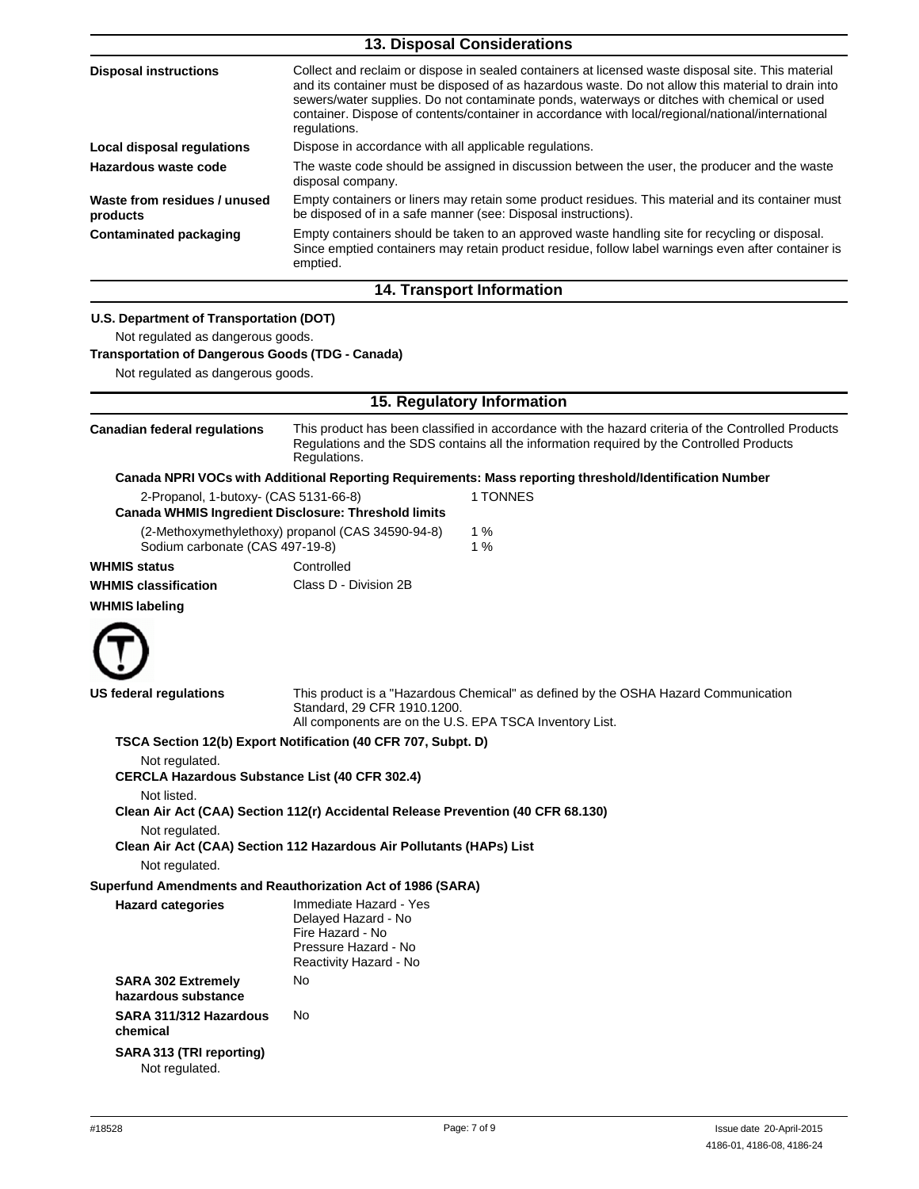|                                                                                                                                                                              | 13. Disposal Considerations                                                                                                                                                                                                                                                                                                                                                                                                  |  |  |
|------------------------------------------------------------------------------------------------------------------------------------------------------------------------------|------------------------------------------------------------------------------------------------------------------------------------------------------------------------------------------------------------------------------------------------------------------------------------------------------------------------------------------------------------------------------------------------------------------------------|--|--|
| <b>Disposal instructions</b>                                                                                                                                                 | Collect and reclaim or dispose in sealed containers at licensed waste disposal site. This material<br>and its container must be disposed of as hazardous waste. Do not allow this material to drain into<br>sewers/water supplies. Do not contaminate ponds, waterways or ditches with chemical or used<br>container. Dispose of contents/container in accordance with local/regional/national/international<br>regulations. |  |  |
| <b>Local disposal regulations</b>                                                                                                                                            | Dispose in accordance with all applicable regulations.                                                                                                                                                                                                                                                                                                                                                                       |  |  |
| Hazardous waste code                                                                                                                                                         | The waste code should be assigned in discussion between the user, the producer and the waste<br>disposal company.                                                                                                                                                                                                                                                                                                            |  |  |
| Waste from residues / unused<br>products                                                                                                                                     | Empty containers or liners may retain some product residues. This material and its container must<br>be disposed of in a safe manner (see: Disposal instructions).                                                                                                                                                                                                                                                           |  |  |
| <b>Contaminated packaging</b>                                                                                                                                                | Empty containers should be taken to an approved waste handling site for recycling or disposal.<br>Since emptied containers may retain product residue, follow label warnings even after container is<br>emptied.                                                                                                                                                                                                             |  |  |
|                                                                                                                                                                              | 14. Transport Information                                                                                                                                                                                                                                                                                                                                                                                                    |  |  |
| U.S. Department of Transportation (DOT)<br>Not regulated as dangerous goods.<br><b>Transportation of Dangerous Goods (TDG - Canada)</b><br>Not regulated as dangerous goods. |                                                                                                                                                                                                                                                                                                                                                                                                                              |  |  |
|                                                                                                                                                                              | 15. Regulatory Information                                                                                                                                                                                                                                                                                                                                                                                                   |  |  |
| <b>Canadian federal regulations</b>                                                                                                                                          | This product has been classified in accordance with the hazard criteria of the Controlled Products<br>Regulations and the SDS contains all the information required by the Controlled Products<br>Regulations.                                                                                                                                                                                                               |  |  |
|                                                                                                                                                                              | Canada NPRI VOCs with Additional Reporting Requirements: Mass reporting threshold/Identification Number                                                                                                                                                                                                                                                                                                                      |  |  |
| 2-Propanol, 1-butoxy- (CAS 5131-66-8)<br><b>Canada WHMIS Ingredient Disclosure: Threshold limits</b>                                                                         | 1 TONNES                                                                                                                                                                                                                                                                                                                                                                                                                     |  |  |
| Sodium carbonate (CAS 497-19-8)                                                                                                                                              | 1%<br>(2-Methoxymethylethoxy) propanol (CAS 34590-94-8)<br>1%                                                                                                                                                                                                                                                                                                                                                                |  |  |
| <b>WHMIS status</b>                                                                                                                                                          | Controlled                                                                                                                                                                                                                                                                                                                                                                                                                   |  |  |
| <b>WHMIS classification</b>                                                                                                                                                  | Class D - Division 2B                                                                                                                                                                                                                                                                                                                                                                                                        |  |  |
| <b>WHMIS labeling</b>                                                                                                                                                        |                                                                                                                                                                                                                                                                                                                                                                                                                              |  |  |
| US rederal regulations                                                                                                                                                       | This product is a "Hazardous Chemical" as defined by the OSHA Hazard Communication<br>Standard, 29 CFR 1910.1200.<br>All components are on the U.S. EPA TSCA Inventory List.                                                                                                                                                                                                                                                 |  |  |
| Not regulated.<br><b>CERCLA Hazardous Substance List (40 CFR 302.4)</b><br>Not listed.<br>Not regulated.<br>Not regulated.                                                   | TSCA Section 12(b) Export Notification (40 CFR 707, Subpt. D)<br>Clean Air Act (CAA) Section 112(r) Accidental Release Prevention (40 CFR 68.130)<br>Clean Air Act (CAA) Section 112 Hazardous Air Pollutants (HAPs) List                                                                                                                                                                                                    |  |  |
| Superfund Amendments and Reauthorization Act of 1986 (SARA)                                                                                                                  |                                                                                                                                                                                                                                                                                                                                                                                                                              |  |  |
| <b>Hazard categories</b>                                                                                                                                                     | Immediate Hazard - Yes<br>Delayed Hazard - No<br>Fire Hazard - No<br>Pressure Hazard - No<br>Reactivity Hazard - No                                                                                                                                                                                                                                                                                                          |  |  |
| <b>SARA 302 Extremely</b><br>hazardous substance                                                                                                                             | No                                                                                                                                                                                                                                                                                                                                                                                                                           |  |  |
| SARA 311/312 Hazardous<br>chemical                                                                                                                                           | No                                                                                                                                                                                                                                                                                                                                                                                                                           |  |  |
| SARA 313 (TRI reporting)<br>Not regulated.                                                                                                                                   |                                                                                                                                                                                                                                                                                                                                                                                                                              |  |  |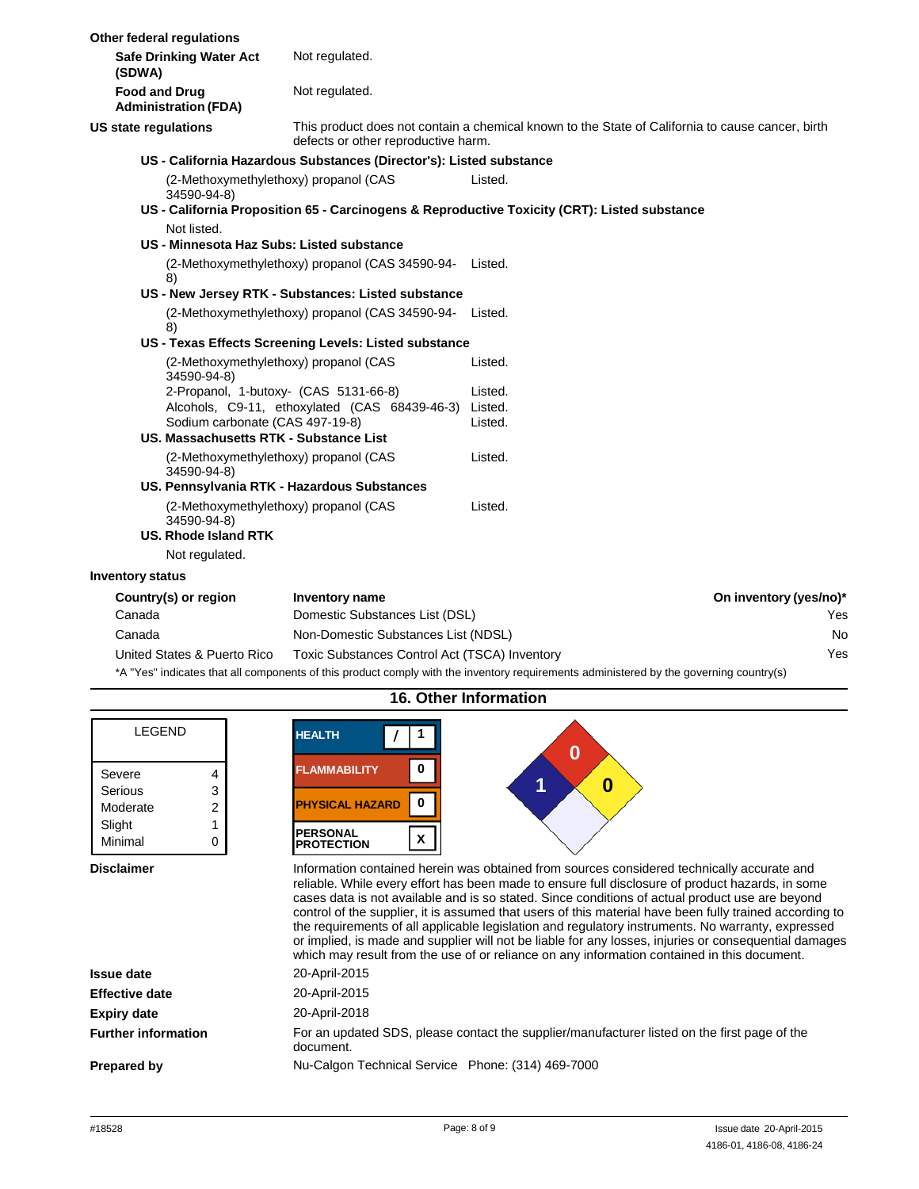| Other federal regulations                           |                                                                                                                                                                                                                                       |                                                                                                                                         |                                                                                                                       |                        |
|-----------------------------------------------------|---------------------------------------------------------------------------------------------------------------------------------------------------------------------------------------------------------------------------------------|-----------------------------------------------------------------------------------------------------------------------------------------|-----------------------------------------------------------------------------------------------------------------------|------------------------|
| (SDWA)                                              | <b>Safe Drinking Water Act</b>                                                                                                                                                                                                        | Not regulated.                                                                                                                          |                                                                                                                       |                        |
| <b>Food and Drug</b><br><b>Administration (FDA)</b> |                                                                                                                                                                                                                                       | Not regulated.                                                                                                                          |                                                                                                                       |                        |
| <b>US state regulations</b>                         |                                                                                                                                                                                                                                       | This product does not contain a chemical known to the State of California to cause cancer, birth<br>defects or other reproductive harm. |                                                                                                                       |                        |
|                                                     |                                                                                                                                                                                                                                       | US - California Hazardous Substances (Director's): Listed substance                                                                     |                                                                                                                       |                        |
|                                                     | (2-Methoxymethylethoxy) propanol (CAS<br>34590-94-8)                                                                                                                                                                                  |                                                                                                                                         | Listed.                                                                                                               |                        |
|                                                     |                                                                                                                                                                                                                                       |                                                                                                                                         | US - California Proposition 65 - Carcinogens & Reproductive Toxicity (CRT): Listed substance                          |                        |
|                                                     | Not listed.                                                                                                                                                                                                                           |                                                                                                                                         |                                                                                                                       |                        |
|                                                     | US - Minnesota Haz Subs: Listed substance                                                                                                                                                                                             |                                                                                                                                         |                                                                                                                       |                        |
| 8)                                                  |                                                                                                                                                                                                                                       | (2-Methoxymethylethoxy) propanol (CAS 34590-94- Listed.                                                                                 |                                                                                                                       |                        |
|                                                     |                                                                                                                                                                                                                                       | US - New Jersey RTK - Substances: Listed substance                                                                                      |                                                                                                                       |                        |
|                                                     | 8)                                                                                                                                                                                                                                    | (2-Methoxymethylethoxy) propanol (CAS 34590-94- Listed.                                                                                 |                                                                                                                       |                        |
|                                                     |                                                                                                                                                                                                                                       | US - Texas Effects Screening Levels: Listed substance                                                                                   |                                                                                                                       |                        |
|                                                     | (2-Methoxymethylethoxy) propanol (CAS<br>34590-94-8)                                                                                                                                                                                  |                                                                                                                                         | Listed.                                                                                                               |                        |
|                                                     | 2-Propanol, 1-butoxy- (CAS 5131-66-8)                                                                                                                                                                                                 |                                                                                                                                         | Listed.                                                                                                               |                        |
| Sodium carbonate (CAS 497-19-8)                     |                                                                                                                                                                                                                                       | Alcohols, C9-11, ethoxylated (CAS 68439-46-3)                                                                                           | Listed.<br>Listed.                                                                                                    |                        |
|                                                     | US. Massachusetts RTK - Substance List                                                                                                                                                                                                |                                                                                                                                         |                                                                                                                       |                        |
|                                                     | (2-Methoxymethylethoxy) propanol (CAS<br>34590-94-8)                                                                                                                                                                                  |                                                                                                                                         | Listed.                                                                                                               |                        |
|                                                     |                                                                                                                                                                                                                                       | US. Pennsylvania RTK - Hazardous Substances                                                                                             |                                                                                                                       |                        |
|                                                     | (2-Methoxymethylethoxy) propanol (CAS<br>34590-94-8)                                                                                                                                                                                  |                                                                                                                                         | Listed.                                                                                                               |                        |
|                                                     | US. Rhode Island RTK                                                                                                                                                                                                                  |                                                                                                                                         |                                                                                                                       |                        |
|                                                     | Not regulated.                                                                                                                                                                                                                        |                                                                                                                                         |                                                                                                                       |                        |
| <b>Inventory status</b>                             |                                                                                                                                                                                                                                       |                                                                                                                                         |                                                                                                                       |                        |
| Country(s) or region                                |                                                                                                                                                                                                                                       | <b>Inventory name</b>                                                                                                                   |                                                                                                                       | On inventory (yes/no)* |
| Canada                                              |                                                                                                                                                                                                                                       | Domestic Substances List (DSL)                                                                                                          |                                                                                                                       | Yes                    |
| Canada                                              |                                                                                                                                                                                                                                       | Non-Domestic Substances List (NDSL)                                                                                                     |                                                                                                                       | <b>No</b>              |
| United States & Puerto Rico                         |                                                                                                                                                                                                                                       | Toxic Substances Control Act (TSCA) Inventory                                                                                           |                                                                                                                       | Yes                    |
|                                                     | $\star$ A $\pm$ UN $\ell$ and $\ell$ is a state of the state of the state of the state of the state of the state of the state of the state of the state of the state of the state of the state of the state of the state of the state |                                                                                                                                         | . A shirt and a short of the same in the first that the continues of the continues of the first state of the category |                        |

\*A "Yes" indicates that all components of this product comply with the inventory requirements administered by the governing country(s)

| <b>LEGEND</b>                                                          | <b>HEALTH</b><br>0                                                                                                                                                                                                                                                                                                                                                                                                                                                                                                                                                                                                                                                                                                        |  |  |  |
|------------------------------------------------------------------------|---------------------------------------------------------------------------------------------------------------------------------------------------------------------------------------------------------------------------------------------------------------------------------------------------------------------------------------------------------------------------------------------------------------------------------------------------------------------------------------------------------------------------------------------------------------------------------------------------------------------------------------------------------------------------------------------------------------------------|--|--|--|
| Severe<br>4<br>3<br>Serious<br>2<br>Moderate<br>Slight<br>Minimal<br>0 | 0<br><b>FLAMMABILITY</b><br>1<br>0<br><b>PHYSICAL HAZARD</b><br>0<br><b>PERSONAL</b><br>X<br><b>PROTECTION</b>                                                                                                                                                                                                                                                                                                                                                                                                                                                                                                                                                                                                            |  |  |  |
| <b>Disclaimer</b>                                                      | Information contained herein was obtained from sources considered technically accurate and<br>reliable. While every effort has been made to ensure full disclosure of product hazards, in some<br>cases data is not available and is so stated. Since conditions of actual product use are beyond<br>control of the supplier, it is assumed that users of this material have been fully trained according to<br>the requirements of all applicable legislation and regulatory instruments. No warranty, expressed<br>or implied, is made and supplier will not be liable for any losses, injuries or consequential damages<br>which may result from the use of or reliance on any information contained in this document. |  |  |  |
| Issue date                                                             | 20-April-2015                                                                                                                                                                                                                                                                                                                                                                                                                                                                                                                                                                                                                                                                                                             |  |  |  |
| <b>Effective date</b>                                                  | 20-April-2015                                                                                                                                                                                                                                                                                                                                                                                                                                                                                                                                                                                                                                                                                                             |  |  |  |
| <b>Expiry date</b>                                                     | 20-April-2018                                                                                                                                                                                                                                                                                                                                                                                                                                                                                                                                                                                                                                                                                                             |  |  |  |
| <b>Further information</b>                                             | For an updated SDS, please contact the supplier/manufacturer listed on the first page of the<br>document.                                                                                                                                                                                                                                                                                                                                                                                                                                                                                                                                                                                                                 |  |  |  |
| Prepared by                                                            | Nu-Calgon Technical Service Phone: (314) 469-7000                                                                                                                                                                                                                                                                                                                                                                                                                                                                                                                                                                                                                                                                         |  |  |  |

**16. Other Information**